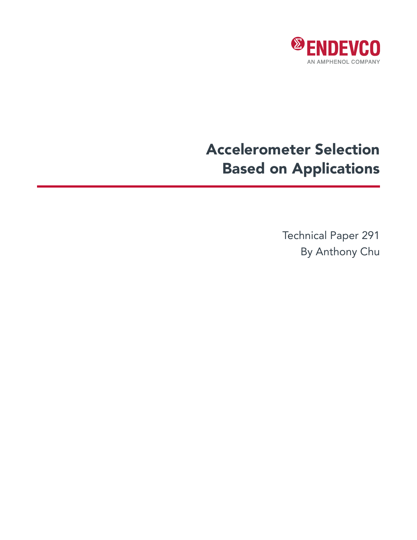

# Accelerometer Selection Based on Applications

Technical Paper 291 By Anthony Chu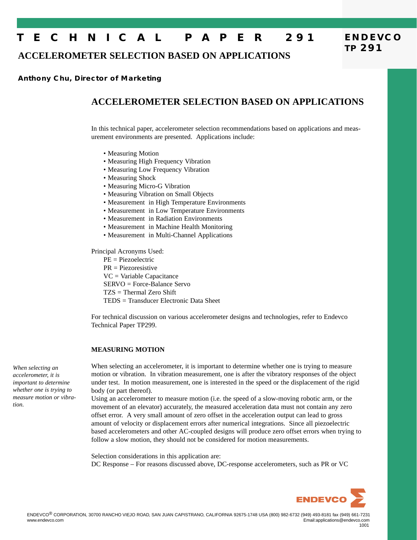# **T E C H N I C A L P A P E R 291**

**ACCELEROMETER SELECTION BASED ON APPLICATIONS**

### **Anthony Chu, Director of Marketing**

# **ACCELEROMETER SELECTION BASED ON APPLICATIONS**

In this technical paper, accelerometer selection recommendations based on applications and measurement environments are presented. Applications include:

- Measuring Motion
- Measuring High Frequency Vibration
- Measuring Low Frequency Vibration
- Measuring Shock
- Measuring Micro-G Vibration
- Measuring Vibration on Small Objects
- Measurement in High Temperature Environments
- Measurement in Low Temperature Environments
- Measurement in Radiation Environments
- Measurement in Machine Health Monitoring
- Measurement in Multi-Channel Applications

Principal Acronyms Used:

PE = Piezoelectric

PR = Piezoresistive

VC = Variable Capacitance

SERVO = Force-Balance Servo

- TZS = Thermal Zero Shift
- TEDS = Transducer Electronic Data Sheet

For technical discussion on various accelerometer designs and technologies, refer to Endevco Technical Paper TP299.

#### **MEASURING MOTION**

*When selecting an accelerometer, it is important to determine whether one is trying to measure motion or vibration.*

When selecting an accelerometer, it is important to determine whether one is trying to measure motion or vibration. In vibration measurement, one is after the vibratory responses of the object under test. In motion measurement, one is interested in the speed or the displacement of the rigid body (or part thereof).

Using an accelerometer to measure motion (i.e. the speed of a slow-moving robotic arm, or the movement of an elevator) accurately, the measured acceleration data must not contain any zero offset error. A very small amount of zero offset in the acceleration output can lead to gross amount of velocity or displacement errors after numerical integrations. Since all piezoelectric based accelerometers and other AC-coupled designs will produce zero offset errors when trying to follow a slow motion, they should not be considered for motion measurements.

Selection considerations in this application are: DC Response – For reasons discussed above, DC-response accelerometers, such as PR or VC



**ENDEVCO**

**TP 291**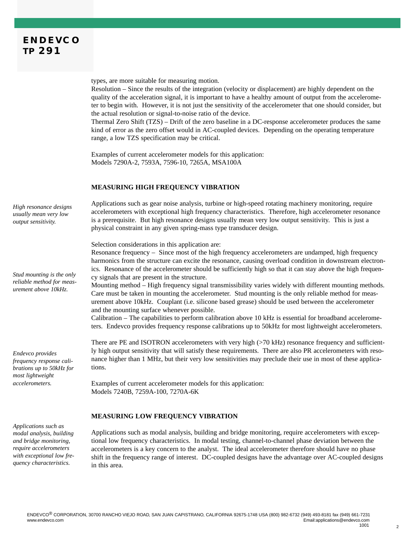types, are more suitable for measuring motion.

Resolution – Since the results of the integration (velocity or displacement) are highly dependent on the quality of the acceleration signal, it is important to have a healthy amount of output from the accelerometer to begin with. However, it is not just the sensitivity of the accelerometer that one should consider, but the actual resolution or signal-to-noise ratio of the device.

Thermal Zero Shift (TZS) – Drift of the zero baseline in a DC-response accelerometer produces the same kind of error as the zero offset would in AC-coupled devices. Depending on the operating temperature range, a low TZS specification may be critical.

Examples of current accelerometer models for this application: Models 7290A-2, 7593A, 7596-10, 7265A, MSA100A

#### **MEASURING HIGH FREQUENCY VIBRATION**

Applications such as gear noise analysis, turbine or high-speed rotating machinery monitoring, require accelerometers with exceptional high frequency characteristics. Therefore, high accelerometer resonance is a prerequisite. But high resonance designs usually mean very low output sensitivity. This is just a physical constraint in any given spring-mass type transducer design.

Selection considerations in this application are:

Resonance frequency – Since most of the high frequency accelerometers are undamped, high frequency harmonics from the structure can excite the resonance, causing overload condition in downstream electronics. Resonance of the accelerometer should be sufficiently high so that it can stay above the high frequency signals that are present in the structure.

Mounting method – High frequency signal transmissibility varies widely with different mounting methods. Care must be taken in mounting the accelerometer. Stud mounting is the only reliable method for measurement above 10kHz. Couplant (i.e. silicone based grease) should be used between the accelerometer and the mounting surface whenever possible.

Calibration – The capabilities to perform calibration above 10 kHz is essential for broadband accelerometers. Endevco provides frequency response calibrations up to 50kHz for most lightweight accelerometers.

There are PE and ISOTRON accelerometers with very high (>70 kHz) resonance frequency and sufficiently high output sensitivity that will satisfy these requirements. There are also PR accelerometers with resonance higher than 1 MHz, but their very low sensitivities may preclude their use in most of these applications.

Examples of current accelerometer models for this application: Models 7240B, 7259A-100, 7270A-6K

#### **MEASURING LOW FREQUENCY VIBRATION**

Applications such as modal analysis, building and bridge monitoring, require accelerometers with exceptional low frequency characteristics. In modal testing, channel-to-channel phase deviation between the accelerometers is a key concern to the analyst. The ideal accelerometer therefore should have no phase shift in the frequency range of interest. DC-coupled designs have the advantage over AC-coupled designs in this area.

*High resonance designs usually mean very low output sensitivity.*

*Stud mounting is the only reliable method for measurement above 10kHz.*

*Endevco provides frequency response calibrations up to 50kHz for most lightweight accelerometers.*

*Applications such as modal analysis, building and bridge monitoring, require accelerometers with exceptional low frequency characteristics.*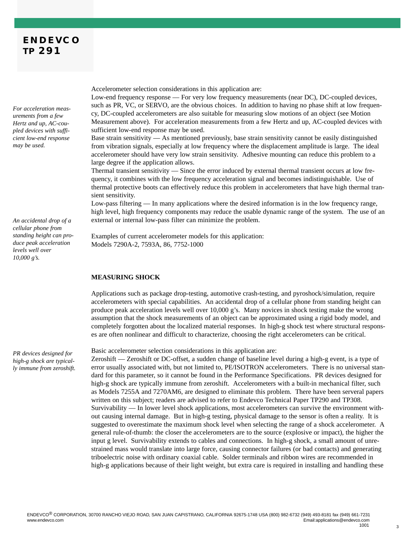## **ENDEVCO TP 291**

*For acceleration measurements from a few Hertz and up, AC-coupled devices with sufficient low-end response may be used.*

*An accidental drop of a cellular phone from standing height can produce peak acceleration levels well over 10,000 g's.*

*PR devices designed for high-g shock are typically immune from zeroshift.* Accelerometer selection considerations in this application are:

Low-end frequency response — For very low frequency measurements (near DC), DC-coupled devices, such as PR, VC, or SERVO, are the obvious choices. In addition to having no phase shift at low frequency, DC-coupled accelerometers are also suitable for measuring slow motions of an object (see Motion Measurement above). For acceleration measurements from a few Hertz and up, AC-coupled devices with sufficient low-end response may be used.

Base strain sensitivity — As mentioned previously, base strain sensitivity cannot be easily distinguished from vibration signals, especially at low frequency where the displacement amplitude is large. The ideal accelerometer should have very low strain sensitivity. Adhesive mounting can reduce this problem to a large degree if the application allows.

Thermal transient sensitivity — Since the error induced by external thermal transient occurs at low frequency, it combines with the low frequency acceleration signal and becomes indistinguishable. Use of thermal protective boots can effectively reduce this problem in accelerometers that have high thermal transient sensitivity.

Low-pass filtering — In many applications where the desired information is in the low frequency range, high level, high frequency components may reduce the usable dynamic range of the system. The use of an external or internal low-pass filter can minimize the problem.

Examples of current accelerometer models for this application: Models 7290A-2, 7593A, 86, 7752-1000

#### **MEASURING SHOCK**

Applications such as package drop-testing, automotive crash-testing, and pyroshock/simulation, require accelerometers with special capabilities. An accidental drop of a cellular phone from standing height can produce peak acceleration levels well over 10,000 g's. Many novices in shock testing make the wrong assumption that the shock measurements of an object can be approximated using a rigid body model, and completely forgotten about the localized material responses. In high-g shock test where structural responses are often nonlinear and difficult to characterize, choosing the right accelerometers can be critical.

Basic accelerometer selection considerations in this application are:

Zeroshift — Zeroshift or DC-offset, a sudden change of baseline level during a high-g event, is a type of error usually associated with, but not limited to, PE/ISOTRON accelerometers. There is no universal standard for this parameter, so it cannot be found in the Performance Specifications. PR devices designed for high-g shock are typically immune from zeroshift. Accelerometers with a built-in mechanical filter, such as Models 7255A and 7270AM6, are designed to eliminate this problem. There have been serveral papers written on this subject; readers are advised to refer to Endevco Technical Paper TP290 and TP308. Survivability — In lower level shock applications, most accelerometers can survive the environment without causing internal damage. But in high-g testing, physical damage to the sensor is often a reality. It is suggested to overestimate the maximum shock level when selecting the range of a shock accelerometer. A general rule-of-thumb: the closer the accelerometers are to the source (explosive or impact), the higher the input g level. Survivability extends to cables and connections. In high-g shock, a small amount of unrestrained mass would translate into large force, causing connector failures (or bad contacts) and generating triboelectric noise with ordinary coaxial cable. Solder terminals and ribbon wires are recommended in high-g applications because of their light weight, but extra care is required in installing and handling these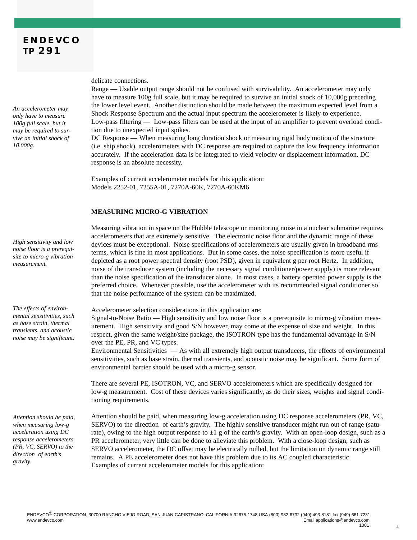*An accelerometer may only have to measure 100g full scale, but it may be required to survive an initial shock of 10,000g.*

*High sensitivity and low noise floor is a prerequisite to micro-g vibration measurement.*

*The effects of environmental sensitivities, such as base strain, thermal transients, and acoustic noise may be significant.*

*Attention should be paid, when measuring low-g acceleration using DC response accelerometers (PR, VC, SERVO) to the direction of earth's gravity.*

delicate connections.

Range — Usable output range should not be confused with survivability. An accelerometer may only have to measure 100g full scale, but it may be required to survive an initial shock of 10,000g preceding the lower level event. Another distinction should be made between the maximum expected level from a Shock Response Spectrum and the actual input spectrum the accelerometer is likely to experience. Low-pass filtering — Low-pass filters can be used at the input of an amplifier to prevent overload condition due to unexpected input spikes.

DC Response — When measuring long duration shock or measuring rigid body motion of the structure (i.e. ship shock), accelerometers with DC response are required to capture the low frequency information accurately. If the acceleration data is be integrated to yield velocity or displacement information, DC response is an absolute necessity.

Examples of current accelerometer models for this application: Models 2252-01, 7255A-01, 7270A-60K, 7270A-60KM6

#### **MEASURING MICRO-G VIBRATION**

Measuring vibration in space on the Hubble telescope or monitoring noise in a nuclear submarine requires accelerometers that are extremely sensitive. The electronic noise floor and the dynamic range of these devices must be exceptional. Noise specifications of accelerometers are usually given in broadband rms terms, which is fine in most applications. But in some cases, the noise specification is more useful if depicted as a root power spectral density (root PSD), given in equivalent g per root Hertz. In addition, noise of the transducer system (including the necessary signal conditioner/power supply) is more relevant than the noise specification of the transducer alone. In most cases, a battery operated power supply is the preferred choice. Whenever possible, use the accelerometer with its recommended signal conditioner so that the noise performance of the system can be maximized.

Accelerometer selection considerations in this application are: Signal-to-Noise Ratio — High sensitivity and low noise floor is a prerequisite to micro-g vibration measurement. High sensitivity and good S/N however, may come at the expense of size and weight. In this respect, given the same weight/size package, the ISOTRON type has the fundamental advantage in S/N over the PE, PR, and VC types.

Environmental Sensitivities — As with all extremely high output transducers, the effects of environmental sensitivities, such as base strain, thermal transients, and acoustic noise may be significant. Some form of environmental barrier should be used with a micro-g sensor.

There are several PE, ISOTRON, VC, and SERVO accelerometers which are specifically designed for low-g measurement. Cost of these devices varies significantly, as do their sizes, weights and signal conditioning requirements.

Attention should be paid, when measuring low-g acceleration using DC response accelerometers (PR, VC, SERVO) to the direction of earth's gravity. The highly sensitive transducer might run out of range (saturate), owing to the high output response to  $\pm 1$  g of the earth's gravity. With an open-loop design, such as a PR accelerometer, very little can be done to alleviate this problem. With a close-loop design, such as SERVO accelerometer, the DC offset may be electrically nulled, but the limitation on dynamic range still remains. A PE accelerometer does not have this problem due to its AC coupled characteristic. Examples of current accelerometer models for this application: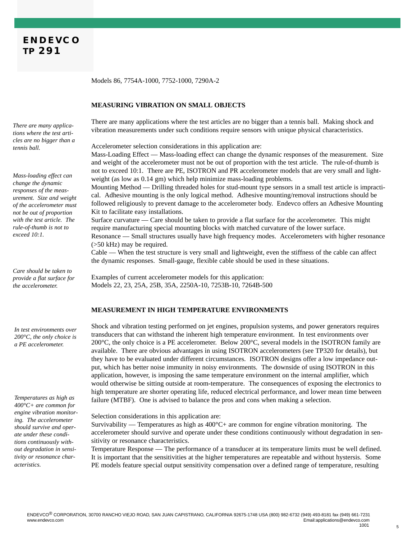Models 86, 7754A-1000, 7752-1000, 7290A-2

#### **MEASURING VIBRATION ON SMALL OBJECTS**

There are many applications where the test articles are no bigger than a tennis ball. Making shock and vibration measurements under such conditions require sensors with unique physical characteristics.

Accelerometer selection considerations in this application are:

Mass-Loading Effect — Mass-loading effect can change the dynamic responses of the measurement. Size and weight of the accelerometer must not be out of proportion with the test article. The rule-of-thumb is not to exceed 10:1. There are PE, ISOTRON and PR accelerometer models that are very small and lightweight (as low as 0.14 gm) which help minimize mass-loading problems.

Mounting Method — Drilling threaded holes for stud-mount type sensors in a small test article is impractical. Adhesive mounting is the only logical method. Adhesive mounting/removal instructions should be followed religiously to prevent damage to the accelerometer body. Endevco offers an Adhesive Mounting Kit to facilitate easy installations.

Surface curvature — Care should be taken to provide a flat surface for the accelerometer. This might require manufacturing special mounting blocks with matched curvature of the lower surface.

Resonance — Small structures usually have high frequency modes. Accelerometers with higher resonance (>50 kHz) may be required.

Cable — When the test structure is very small and lightweight, even the stiffness of the cable can affect the dynamic responses. Small-gauge, flexible cable should be used in these situations.

Examples of current accelerometer models for this application: Models 22, 23, 25A, 25B, 35A, 2250A-10, 7253B-10, 7264B-500

#### **MEASUREMENT IN HIGH TEMPERATURE ENVIRONMENTS**

Shock and vibration testing performed on jet engines, propulsion systems, and power generators requires transducers that can withstand the inherent high temperature environment. In test environments over 200°C, the only choice is a PE accelerometer. Below 200°C, several models in the ISOTRON family are available. There are obvious advantages in using ISOTRON accelerometers (see TP320 for details), but they have to be evaluated under different circumstances. ISOTRON designs offer a low impedance output, which has better noise immunity in noisy environments. The downside of using ISOTRON in this application, however, is imposing the same temperature environment on the internal amplifier, which would otherwise be sitting outside at room-temperature. The consequences of exposing the electronics to high temperature are shorter operating life, reduced electrical performance, and lower mean time between failure (MTBF). One is advised to balance the pros and cons when making a selection.

Selection considerations in this application are:

Survivability — Temperatures as high as  $400^{\circ}$ C + are common for engine vibration monitoring. The accelerometer should survive and operate under these conditions continuously without degradation in sensitivity or resonance characteristics.

Temperature Response — The performance of a transducer at its temperature limits must be well defined. It is important that the sensitivities at the higher temperatures are repeatable and without hystersis. Some PE models feature special output sensitivity compensation over a defined range of temperature, resulting

*There are many applications where the test articles are no bigger than a tennis ball.*

*Mass-loading effect can change the dynamic responses of the measurement. Size and weight of the accelerometer must not be out of proportion with the test article. The rule-of-thumb is not to exceed 10:1.*

*Care should be taken to provide a flat surface for the accelerometer.* 

*In test environments over 200°C, the only choice is a PE accelerometer.*

*Temperatures as high as 400°C+ are common for engine vibration monitoring. The accelerometer should survive and operate under these conditions continuously without degradation in sensitivity or resonance characteristics.*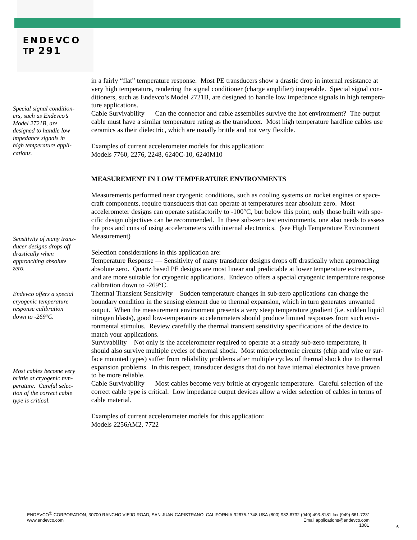*Special signal conditioners, such as Endevco's Model 2721B, are designed to handle low impedance signals in high temperature applications.*

*Sensitivity of many transducer designs drops off drastically when approaching absolute zero.*

*Endevco offers a special cryogenic temperature response calibration down to -269°C.*

*Most cables become very brittle at cryogenic temperature. Careful selection of the correct cable type is critical.*

in a fairly "flat" temperature response. Most PE transducers show a drastic drop in internal resistance at very high temperature, rendering the signal conditioner (charge amplifier) inoperable. Special signal conditioners, such as Endevco's Model 2721B, are designed to handle low impedance signals in high temperature applications.

Cable Survivability — Can the connector and cable assemblies survive the hot environment? The output cable must have a similar temperature rating as the transducer. Most high temperature hardline cables use ceramics as their dielectric, which are usually brittle and not very flexible.

Examples of current accelerometer models for this application: Models 7760, 2276, 2248, 6240C-10, 6240M10

#### **MEASUREMENT IN LOW TEMPERATURE ENVIRONMENTS**

Measurements performed near cryogenic conditions, such as cooling systems on rocket engines or spacecraft components, require transducers that can operate at temperatures near absolute zero. Most accelerometer designs can operate satisfactorily to -100°C, but below this point, only those built with specific design objectives can be recommended. In these sub-zero test environments, one also needs to assess the pros and cons of using accelerometers with internal electronics. (see High Temperature Environment Measurement)

Selection considerations in this application are:

Temperature Response — Sensitivity of many transducer designs drops off drastically when approaching absolute zero. Quartz based PE designs are most linear and predictable at lower temperature extremes, and are more suitable for cryogenic applications. Endevco offers a special cryogenic temperature response calibration down to -269°C.

Thermal Transient Sensitivity – Sudden temperature changes in sub-zero applications can change the boundary condition in the sensing element due to thermal expansion, which in turn generates unwanted output. When the measurement environment presents a very steep temperature gradient (i.e. sudden liquid nitrogen blasts), good low-temperature accelerometers should produce limited responses from such environmental stimulus. Review carefully the thermal transient sensitivity specifications of the device to match your applications.

Survivability – Not only is the accelerometer required to operate at a steady sub-zero temperature, it should also survive multiple cycles of thermal shock. Most microelectronic circuits (chip and wire or surface mounted types) suffer from reliability problems after multiple cycles of thermal shock due to thermal expansion problems. In this respect, transducer designs that do not have internal electronics have proven to be more reliable.

Cable Survivability — Most cables become very brittle at cryogenic temperature. Careful selection of the correct cable type is critical. Low impedance output devices allow a wider selection of cables in terms of cable material.

Examples of current accelerometer models for this application: Models 2256AM2, 7722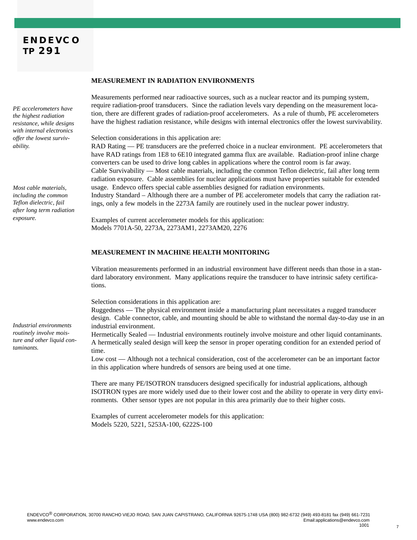*PE accelerometers have the highest radiation resistance, while designs with internal electronics offer the lowest survivability.*

*Most cable materials, including the common Teflon dielectric, fail after long term radiation exposure.*

*Industrial environments routinely involve moisture and other liquid contaminants.*

#### **MEASUREMENT IN RADIATION ENVIRONMENTS**

Measurements performed near radioactive sources, such as a nuclear reactor and its pumping system, require radiation-proof transducers. Since the radiation levels vary depending on the measurement location, there are different grades of radiation-proof accelerometers. As a rule of thumb, PE accelerometers have the highest radiation resistance, while designs with internal electronics offer the lowest survivability.

Selection considerations in this application are:

RAD Rating — PE transducers are the preferred choice in a nuclear environment. PE accelerometers that have RAD ratings from 1E8 to 6E10 integrated gamma flux are available. Radiation-proof inline charge converters can be used to drive long cables in applications where the control room is far away. Cable Survivability — Most cable materials, including the common Teflon dielectric, fail after long term radiation exposure. Cable assemblies for nuclear applications must have properties suitable for extended usage. Endevco offers special cable assemblies designed for radiation environments.

Industry Standard – Although there are a number of PE accelerometer models that carry the radiation ratings, only a few models in the 2273A family are routinely used in the nuclear power industry.

Examples of current accelerometer models for this application: Models 7701A-50, 2273A, 2273AM1, 2273AM20, 2276

#### **MEASUREMENT IN MACHINE HEALTH MONITORING**

Vibration measurements performed in an industrial environment have different needs than those in a standard laboratory environment. Many applications require the transducer to have intrinsic safety certifications.

Selection considerations in this application are:

Ruggedness — The physical environment inside a manufacturing plant necessitates a rugged transducer design. Cable connector, cable, and mounting should be able to withstand the normal day-to-day use in an industrial environment.

Hermetically Sealed — Industrial environments routinely involve moisture and other liquid contaminants. A hermetically sealed design will keep the sensor in proper operating condition for an extended period of time.

Low cost — Although not a technical consideration, cost of the accelerometer can be an important factor in this application where hundreds of sensors are being used at one time.

There are many PE/ISOTRON transducers designed specifically for industrial applications, although ISOTRON types are more widely used due to their lower cost and the ability to operate in very dirty environments. Other sensor types are not popular in this area primarily due to their higher costs.

Examples of current accelerometer models for this application: Models 5220, 5221, 5253A-100, 6222S-100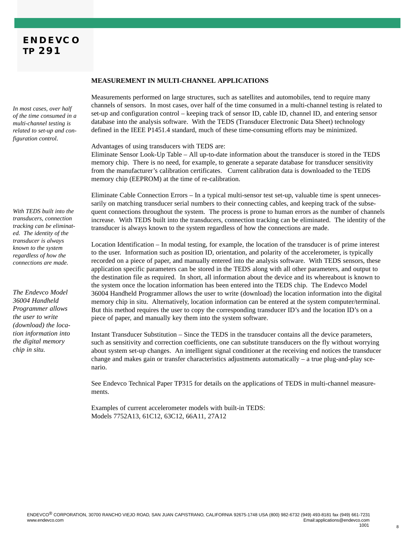*In most cases, over half of the time consumed in a multi-channel testing is related to set-up and configuration control.*

*With TEDS built into the transducers, connection tracking can be eliminated. The identity of the transducer is always known to the system regardless of how the connections are made.*

*The Endevco Model 36004 Handheld Programmer allows the user to write (download) the location information into the digital memory chip in situ.*

#### **MEASUREMENT IN MULTI-CHANNEL APPLICATIONS**

Measurements performed on large structures, such as satellites and automobiles, tend to require many channels of sensors. In most cases, over half of the time consumed in a multi-channel testing is related to set-up and configuration control – keeping track of sensor ID, cable ID, channel ID, and entering sensor database into the analysis software. With the TEDS (Transducer Electronic Data Sheet) technology defined in the IEEE P1451.4 standard, much of these time-consuming efforts may be minimized.

Advantages of using transducers with TEDS are:

Eliminate Sensor Look-Up Table – All up-to-date information about the transducer is stored in the TEDS memory chip. There is no need, for example, to generate a separate database for transducer sensitivity from the manufacturer's calibration certificates. Current calibration data is downloaded to the TEDS memory chip (EEPROM) at the time of re-calibration.

Eliminate Cable Connection Errors – In a typical multi-sensor test set-up, valuable time is spent unnecessarily on matching transducer serial numbers to their connecting cables, and keeping track of the subsequent connections throughout the system. The process is prone to human errors as the number of channels increase. With TEDS built into the transducers, connection tracking can be eliminated. The identity of the transducer is always known to the system regardless of how the connections are made.

Location Identification – In modal testing, for example, the location of the transducer is of prime interest to the user. Information such as position ID, orientation, and polarity of the accelerometer, is typically recorded on a piece of paper, and manually entered into the analysis software. With TEDS sensors, these application specific parameters can be stored in the TEDS along with all other parameters, and output to the destination file as required. In short, all information about the device and its whereabout is known to the system once the location information has been entered into the TEDS chip. The Endevco Model 36004 Handheld Programmer allows the user to write (download) the location information into the digital memory chip in situ. Alternatively, location information can be entered at the system computer/terminal. But this method requires the user to copy the corresponding transducer ID's and the location ID's on a piece of paper, and manually key them into the system software.

Instant Transducer Substitution – Since the TEDS in the transducer contains all the device parameters, such as sensitivity and correction coefficients, one can substitute transducers on the fly without worrying about system set-up changes. An intelligent signal conditioner at the receiving end notices the transducer change and makes gain or transfer characteristics adjustments automatically – a true plug-and-play scenario.

See Endevco Technical Paper TP315 for details on the applications of TEDS in multi-channel measurements.

Examples of current accelerometer models with built-in TEDS: Models 7752A13, 61C12, 63C12, 66A11, 27A12